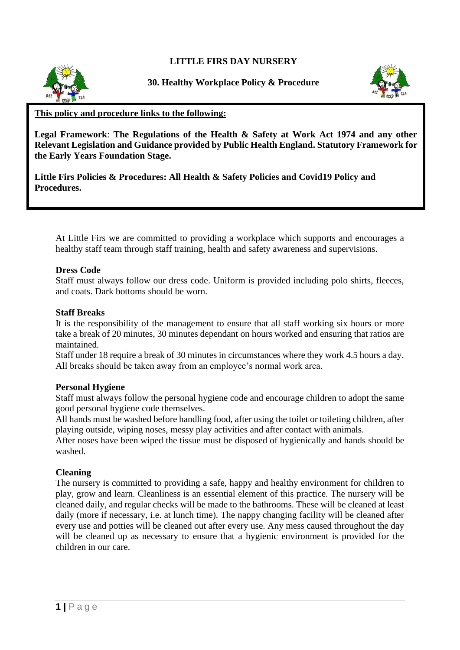**LITTLE FIRS DAY NURSERY**



**30. Healthy Workplace Policy & Procedure**



## **This policy and procedure links to the following:**

**Legal Framework**: **The Regulations of the Health & Safety at Work Act 1974 and any other Relevant Legislation and Guidance provided by Public Health England. Statutory Framework for the Early Years Foundation Stage.**

**Little Firs Policies & Procedures: All Health & Safety Policies and Covid19 Policy and Procedures.**

At Little Firs we are committed to providing a workplace which supports and encourages a healthy staff team through staff training, health and safety awareness and supervisions.

#### **Dress Code**

Staff must always follow our dress code. Uniform is provided including polo shirts, fleeces, and coats. Dark bottoms should be worn.

#### **Staff Breaks**

It is the responsibility of the management to ensure that all staff working six hours or more take a break of 20 minutes, 30 minutes dependant on hours worked and ensuring that ratios are maintained.

Staff under 18 require a break of 30 minutes in circumstances where they work 4.5 hours a day. All breaks should be taken away from an employee's normal work area.

### **Personal Hygiene**

Staff must always follow the personal hygiene code and encourage children to adopt the same good personal hygiene code themselves.

All hands must be washed before handling food, after using the toilet or toileting children, after playing outside, wiping noses, messy play activities and after contact with animals.

After noses have been wiped the tissue must be disposed of hygienically and hands should be washed.

### **Cleaning**

The nursery is committed to providing a safe, happy and healthy environment for children to play, grow and learn. Cleanliness is an essential element of this practice. The nursery will be cleaned daily, and regular checks will be made to the bathrooms. These will be cleaned at least daily (more if necessary, i.e. at lunch time). The nappy changing facility will be cleaned after every use and potties will be cleaned out after every use. Any mess caused throughout the day will be cleaned up as necessary to ensure that a hygienic environment is provided for the children in our care.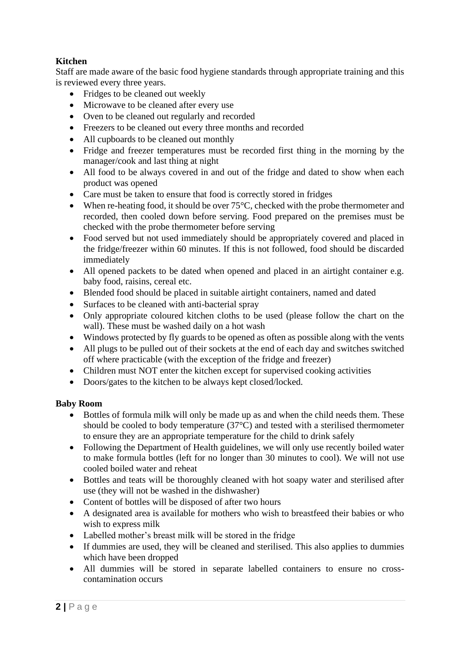# **Kitchen**

Staff are made aware of the basic food hygiene standards through appropriate training and this is reviewed every three years.

- Fridges to be cleaned out weekly
- Microwave to be cleaned after every use
- Oven to be cleaned out regularly and recorded
- Freezers to be cleaned out every three months and recorded
- All cupboards to be cleaned out monthly
- Fridge and freezer temperatures must be recorded first thing in the morning by the manager/cook and last thing at night
- All food to be always covered in and out of the fridge and dated to show when each product was opened
- Care must be taken to ensure that food is correctly stored in fridges
- When re-heating food, it should be over 75°C, checked with the probe thermometer and recorded, then cooled down before serving. Food prepared on the premises must be checked with the probe thermometer before serving
- Food served but not used immediately should be appropriately covered and placed in the fridge/freezer within 60 minutes. If this is not followed, food should be discarded immediately
- All opened packets to be dated when opened and placed in an airtight container e.g. baby food, raisins, cereal etc.
- Blended food should be placed in suitable airtight containers, named and dated
- Surfaces to be cleaned with anti-bacterial spray
- Only appropriate coloured kitchen cloths to be used (please follow the chart on the wall). These must be washed daily on a hot wash
- Windows protected by fly guards to be opened as often as possible along with the vents
- All plugs to be pulled out of their sockets at the end of each day and switches switched off where practicable (with the exception of the fridge and freezer)
- Children must NOT enter the kitchen except for supervised cooking activities
- Doors/gates to the kitchen to be always kept closed/locked.

# **Baby Room**

- Bottles of formula milk will only be made up as and when the child needs them. These should be cooled to body temperature (37°C) and tested with a sterilised thermometer to ensure they are an appropriate temperature for the child to drink safely
- Following the Department of Health guidelines, we will only use recently boiled water to make formula bottles (left for no longer than 30 minutes to cool). We will not use cooled boiled water and reheat
- Bottles and teats will be thoroughly cleaned with hot soapy water and sterilised after use (they will not be washed in the dishwasher)
- Content of bottles will be disposed of after two hours
- A designated area is available for mothers who wish to breastfeed their babies or who wish to express milk
- Labelled mother's breast milk will be stored in the fridge
- If dummies are used, they will be cleaned and sterilised. This also applies to dummies which have been dropped
- All dummies will be stored in separate labelled containers to ensure no crosscontamination occurs